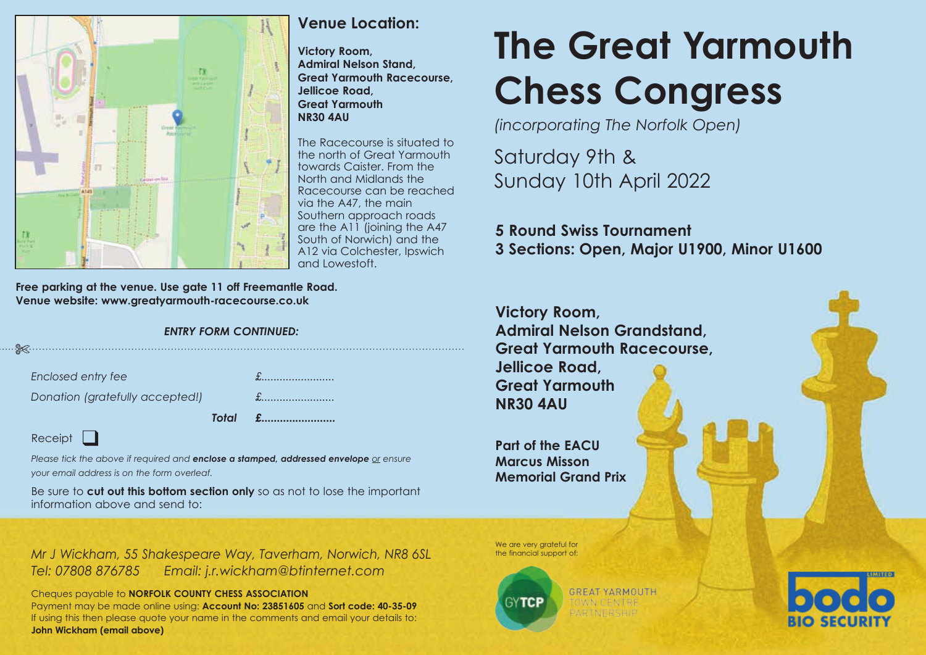

# **Venue Location:**

**Victory Room, Admiral Nelson Stand, Great Yarmouth Racecourse, Jellicoe Road, Great Yarmouth NR30 4AU**

The Racecourse is situated to the north of Great Yarmouth towards Caister. From the North and Midlands the Racecourse can be reached via the A47, the main Southern approach roads are the A11 (joining the A47 South of Norwich) and the A12 via Colchester, Ipswich and Lowestoft.

**Free parking at the venue. Use gate 11 off Freemantle Road. Venue website: www.greatyarmouth-racecourse.co.uk**

## *ENTRY FORM CONTINUED:*

|                                                                                                                | Total £ |
|----------------------------------------------------------------------------------------------------------------|---------|
| Donation (gratefully accepted!)                                                                                |         |
| Enclosed entry fee                                                                                             |         |
| en al controllato de la controllato de la controllato de la controllato de la controllato de la controllato de |         |

## Receipt

*Please tick the above if required and enclose a stamped, addressed envelope or ensure your email address is on the form overleaf.* 

Be sure to **cut out this bottom section only** so as not to lose the important information above and send to:

*Mr J Wickham, 55 Shakespeare Way, Taverham, Norwich, NR8 6SL Tel: 07808 876785 Email: j.r.wickham@btinternet.com*

Cheques payable to **NORFOLK COUNTY CHESS ASSOCIATION** Payment may be made online using: **Account No: 23851605** and **Sort code: 40-35-09** If using this then please quote your name in the comments and email your details to: **John Wickham (email above)**

We are very grateful for the financial support of:



**GREAT YARMOUTH OWN CENTRE** ARTNERSHIP



**The Great Yarmouth Chess Congress**

*(incorporating The Norfolk Open)*

Saturday 9th & Sunday 10th April 2022

**5 Round Swiss Tournament 3 Sections: Open, Major U1900, Minor U1600**

**Victory Room, Admiral Nelson Grandstand, Great Yarmouth Racecourse, Jellicoe Road, Great Yarmouth NR30 4AU**

**Part of the EACU Marcus Misson Memorial Grand Prix**